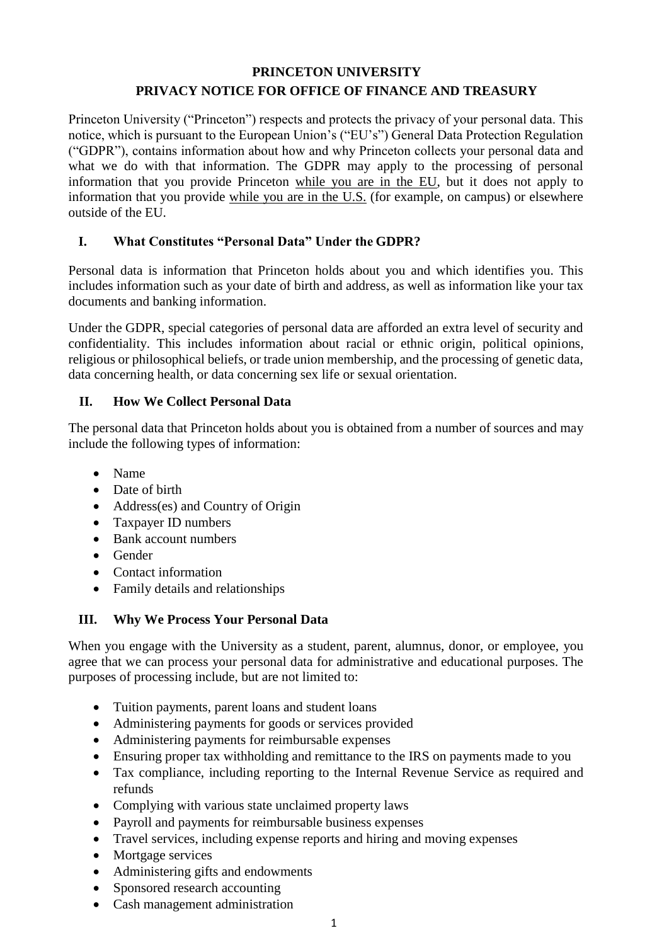# **PRINCETON UNIVERSITY PRIVACY NOTICE FOR OFFICE OF FINANCE AND TREASURY**

Princeton University ("Princeton") respects and protects the privacy of your personal data. This notice, which is pursuant to the European Union's ("EU's") General Data Protection Regulation ("GDPR"), contains information about how and why Princeton collects your personal data and what we do with that information. The GDPR may apply to the processing of personal information that you provide Princeton while you are in the EU, but it does not apply to information that you provide while you are in the U.S. (for example, on campus) or elsewhere outside of the EU.

## **I. What Constitutes "Personal Data" Under the GDPR?**

Personal data is information that Princeton holds about you and which identifies you. This includes information such as your date of birth and address, as well as information like your tax documents and banking information.

Under the GDPR, special categories of personal data are afforded an extra level of security and confidentiality. This includes information about racial or ethnic origin, political opinions, religious or philosophical beliefs, or trade union membership, and the processing of genetic data, data concerning health, or data concerning sex life or sexual orientation.

## **II. How We Collect Personal Data**

The personal data that Princeton holds about you is obtained from a number of sources and may include the following types of information:

- Name
- Date of birth
- Address(es) and Country of Origin
- Taxpayer ID numbers
- Bank account numbers
- Gender
- Contact information
- Family details and relationships

# **III. Why We Process Your Personal Data**

When you engage with the University as a student, parent, alumnus, donor, or employee, you agree that we can process your personal data for administrative and educational purposes. The purposes of processing include, but are not limited to:

- Tuition payments, parent loans and student loans
- Administering payments for goods or services provided
- Administering payments for reimbursable expenses
- Ensuring proper tax withholding and remittance to the IRS on payments made to you
- Tax compliance, including reporting to the Internal Revenue Service as required and refunds
- Complying with various state unclaimed property laws
- Payroll and payments for reimbursable business expenses
- Travel services, including expense reports and hiring and moving expenses
- Mortgage services
- Administering gifts and endowments
- Sponsored research accounting
- Cash management administration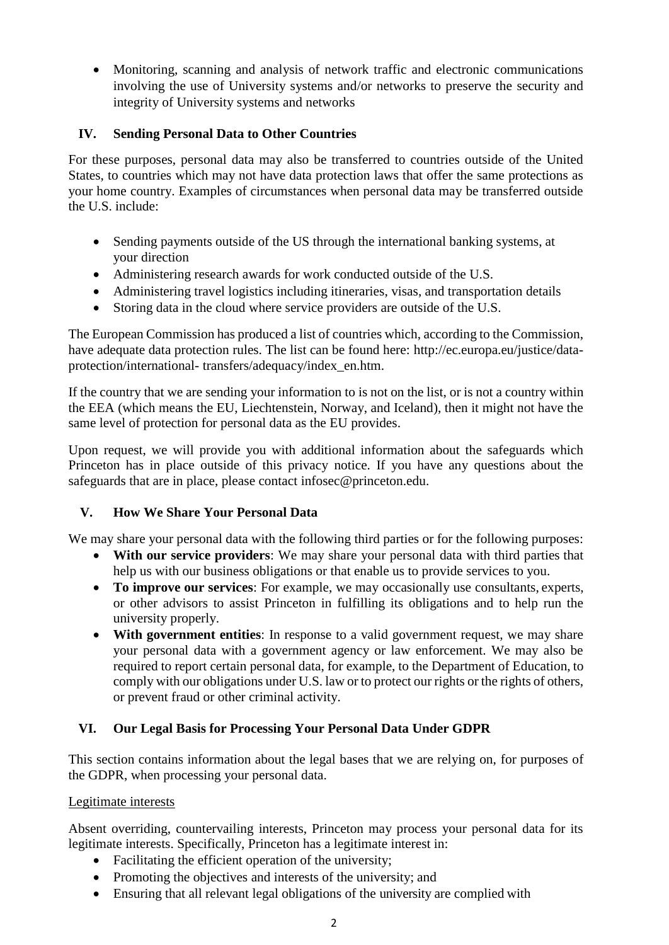Monitoring, scanning and analysis of network traffic and electronic communications involving the use of University systems and/or networks to preserve the security and integrity of University systems and networks

# **IV. Sending Personal Data to Other Countries**

For these purposes, personal data may also be transferred to countries outside of the United States, to countries which may not have data protection laws that offer the same protections as your home country. Examples of circumstances when personal data may be transferred outside the U.S. include:

- Sending payments outside of the US through the international banking systems, at your direction
- Administering research awards for work conducted outside of the U.S.
- Administering travel logistics including itineraries, visas, and transportation details
- Storing data in the cloud where service providers are outside of the U.S.

The European Commission has produced a list of countries which, according to the Commission, have adequate data protection rules. The list can be found here: [http://ec.europa.eu/justice/data](http://ec.europa.eu/justice/data-protection/international-transfers/adequacy/index_en.htm)[protection/international-](http://ec.europa.eu/justice/data-protection/international-transfers/adequacy/index_en.htm) [transfers/adequacy/index\\_en.htm.](http://ec.europa.eu/justice/data-protection/international-transfers/adequacy/index_en.htm)

If the country that we are sending your information to is not on the list, or is not a country within the EEA (which means the EU, Liechtenstein, Norway, and Iceland), then it might not have the same level of protection for personal data as the EU provides.

Upon request, we will provide you with additional information about the safeguards which Princeton has in place outside of this privacy notice. If you have any questions about the safeguards that are in place, please contact [infosec@princeton.edu.](mailto:infosec@princeton.edu)

# **V. How We Share Your Personal Data**

We may share your personal data with the following third parties or for the following purposes:

- **With our service providers**: We may share your personal data with third parties that help us with our business obligations or that enable us to provide services to you.
- **To improve our services**: For example, we may occasionally use consultants, experts, or other advisors to assist Princeton in fulfilling its obligations and to help run the university properly.
- **With government entities**: In response to a valid government request, we may share your personal data with a government agency or law enforcement. We may also be required to report certain personal data, for example, to the Department of Education, to comply with our obligations under U.S. law or to protect our rights or the rights of others, or prevent fraud or other criminal activity.

# **VI. Our Legal Basis for Processing Your Personal Data Under GDPR**

This section contains information about the legal bases that we are relying on, for purposes of the GDPR, when processing your personal data.

## Legitimate interests

Absent overriding, countervailing interests, Princeton may process your personal data for its legitimate interests. Specifically, Princeton has a legitimate interest in:

- Facilitating the efficient operation of the university;
- Promoting the objectives and interests of the university; and
- Ensuring that all relevant legal obligations of the university are complied with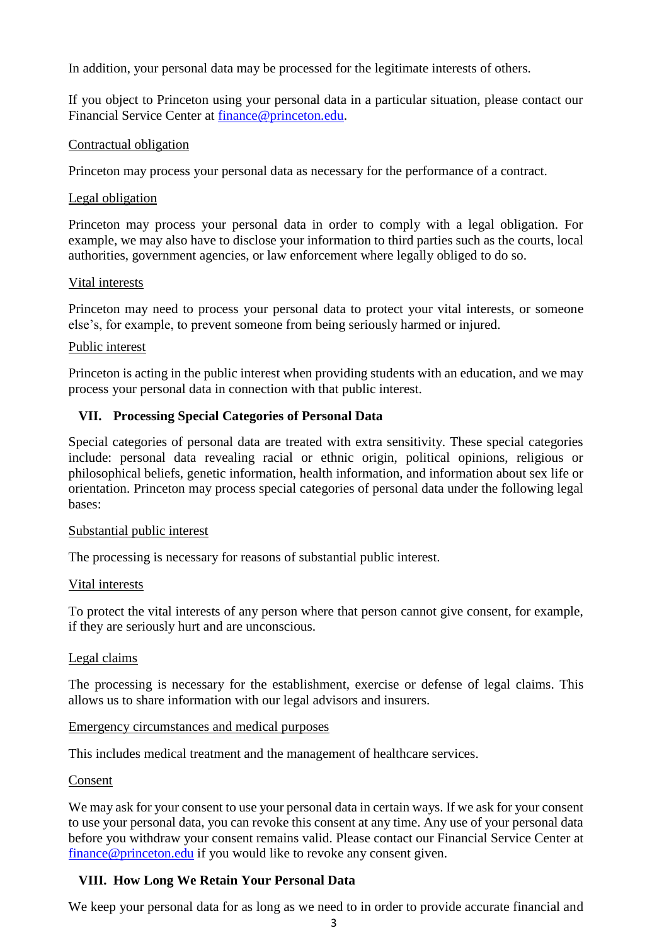In addition, your personal data may be processed for the legitimate interests of others.

If you object to Princeton using your personal data in a particular situation, please contact our Financial Service Center at [finance@princeton.edu.](mailto:finance@princeton.edu)

### Contractual obligation

Princeton may process your personal data as necessary for the performance of a contract.

### Legal obligation

Princeton may process your personal data in order to comply with a legal obligation. For example, we may also have to disclose your information to third parties such as the courts, local authorities, government agencies, or law enforcement where legally obliged to do so.

### Vital interests

Princeton may need to process your personal data to protect your vital interests, or someone else's, for example, to prevent someone from being seriously harmed or injured.

### Public interest

Princeton is acting in the public interest when providing students with an education, and we may process your personal data in connection with that public interest.

## **VII. Processing Special Categories of Personal Data**

Special categories of personal data are treated with extra sensitivity. These special categories include: personal data revealing racial or ethnic origin, political opinions, religious or philosophical beliefs, genetic information, health information, and information about sex life or orientation. Princeton may process special categories of personal data under the following legal bases:

### Substantial public interest

The processing is necessary for reasons of substantial public interest.

## Vital interests

To protect the vital interests of any person where that person cannot give consent, for example, if they are seriously hurt and are unconscious.

## Legal claims

The processing is necessary for the establishment, exercise or defense of legal claims. This allows us to share information with our legal advisors and insurers.

### Emergency circumstances and medical purposes

This includes medical treatment and the management of healthcare services.

### Consent

We may ask for your consent to use your personal data in certain ways. If we ask for your consent to use your personal data, you can revoke this consent at any time. Any use of your personal data before you withdraw your consent remains valid. Please contact our Financial Service Center at [finance@princeton.edu](mailto:finance@princeton.edu) if you would like to revoke any consent given.

## **VIII. How Long We Retain Your Personal Data**

We keep your personal data for as long as we need to in order to provide accurate financial and